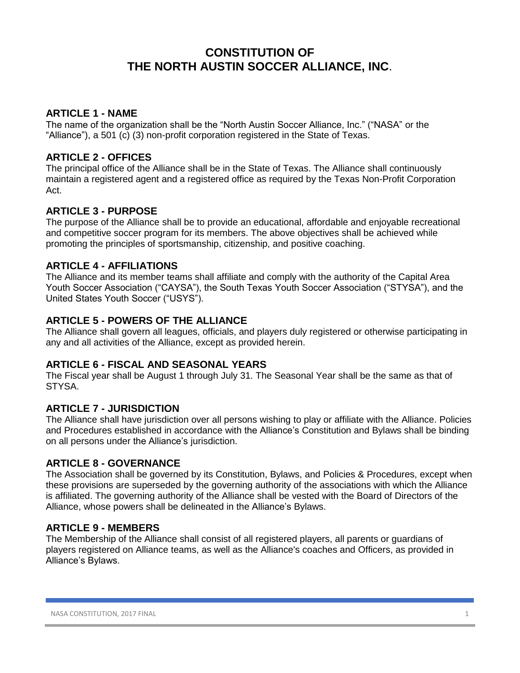# **CONSTITUTION OF THE NORTH AUSTIN SOCCER ALLIANCE, INC**.

# **ARTICLE 1 - NAME**

The name of the organization shall be the "North Austin Soccer Alliance, Inc." ("NASA" or the "Alliance"), a 501 (c) (3) non-profit corporation registered in the State of Texas.

#### **ARTICLE 2 - OFFICES**

The principal office of the Alliance shall be in the State of Texas. The Alliance shall continuously maintain a registered agent and a registered office as required by the Texas Non-Profit Corporation Act.

# **ARTICLE 3 - PURPOSE**

The purpose of the Alliance shall be to provide an educational, affordable and enjoyable recreational and competitive soccer program for its members. The above objectives shall be achieved while promoting the principles of sportsmanship, citizenship, and positive coaching.

# **ARTICLE 4 - AFFILIATIONS**

The Alliance and its member teams shall affiliate and comply with the authority of the Capital Area Youth Soccer Association ("CAYSA"), the South Texas Youth Soccer Association ("STYSA"), and the United States Youth Soccer ("USYS").

# **ARTICLE 5 - POWERS OF THE ALLIANCE**

The Alliance shall govern all leagues, officials, and players duly registered or otherwise participating in any and all activities of the Alliance, except as provided herein.

#### **ARTICLE 6 - FISCAL AND SEASONAL YEARS**

The Fiscal year shall be August 1 through July 31. The Seasonal Year shall be the same as that of STYSA.

# **ARTICLE 7 - JURISDICTION**

The Alliance shall have jurisdiction over all persons wishing to play or affiliate with the Alliance. Policies and Procedures established in accordance with the Alliance's Constitution and Bylaws shall be binding on all persons under the Alliance's jurisdiction.

#### **ARTICLE 8 - GOVERNANCE**

The Association shall be governed by its Constitution, Bylaws, and Policies & Procedures, except when these provisions are superseded by the governing authority of the associations with which the Alliance is affiliated. The governing authority of the Alliance shall be vested with the Board of Directors of the Alliance, whose powers shall be delineated in the Alliance's Bylaws.

# **ARTICLE 9 - MEMBERS**

The Membership of the Alliance shall consist of all registered players, all parents or guardians of players registered on Alliance teams, as well as the Alliance's coaches and Officers, as provided in Alliance's Bylaws.